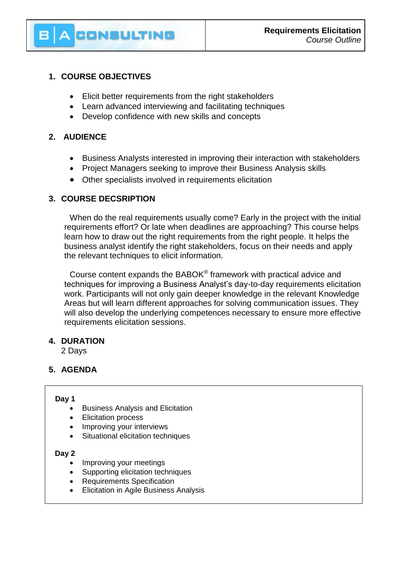# **1. COURSE OBJECTIVES**

**CONSULTING** 

- Elicit better requirements from the right stakeholders
- Learn advanced interviewing and facilitating techniques
- Develop confidence with new skills and concepts

## **2. AUDIENCE**

- Business Analysts interested in improving their interaction with stakeholders
- Project Managers seeking to improve their Business Analysis skills
- Other specialists involved in requirements elicitation

## **3. COURSE DECSRIPTION**

When do the real requirements usually come? Early in the project with the initial requirements effort? Or late when deadlines are approaching? This course helps learn how to draw out the right requirements from the right people. It helps the business analyst identify the right stakeholders, focus on their needs and apply the relevant techniques to elicit information.

Course content expands the BABOK® framework with practical advice and techniques for improving a Business Analyst's day-to-day requirements elicitation work. Participants will not only gain deeper knowledge in the relevant Knowledge Areas but will learn different approaches for solving communication issues. They will also develop the underlying competences necessary to ensure more effective requirements elicitation sessions.

## **4. DURATION**

2 Days

## **5. AGENDA**

#### **Day 1**

- Business Analysis and Elicitation
- Elicitation process
- Improving your interviews
- Situational elicitation techniques

#### **Day 2**

- Improving your meetings
- Supporting elicitation techniques
- Requirements Specification
- Elicitation in Agile Business Analysis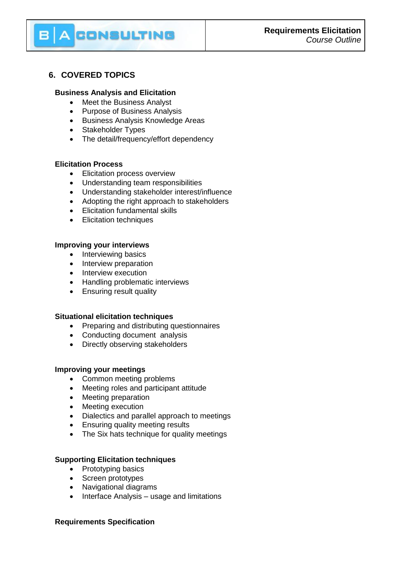# CONSULTING

# **6. COVERED TOPICS**

## **Business Analysis and Elicitation**

- Meet the Business Analyst
- Purpose of Business Analysis
- **•** Business Analysis Knowledge Areas
- Stakeholder Types
- The detail/frequency/effort dependency

## **Elicitation Process**

- **Elicitation process overview**
- Understanding team responsibilities
- Understanding stakeholder interest/influence
- Adopting the right approach to stakeholders
- Elicitation fundamental skills
- **•** Elicitation techniques

## **Improving your interviews**

- Interviewing basics
- Interview preparation
- Interview execution
- Handling problematic interviews
- Ensuring result quality

### **Situational elicitation techniques**

- Preparing and distributing questionnaires
- Conducting document analysis
- Directly observing stakeholders

### **Improving your meetings**

- Common meeting problems
- Meeting roles and participant attitude
- Meeting preparation
- Meeting execution
- Dialectics and parallel approach to meetings
- Ensuring quality meeting results
- The Six hats technique for quality meetings

### **Supporting Elicitation techniques**

- Prototyping basics
- Screen prototypes
- Navigational diagrams
- Interface Analysis usage and limitations

### **Requirements Specification**